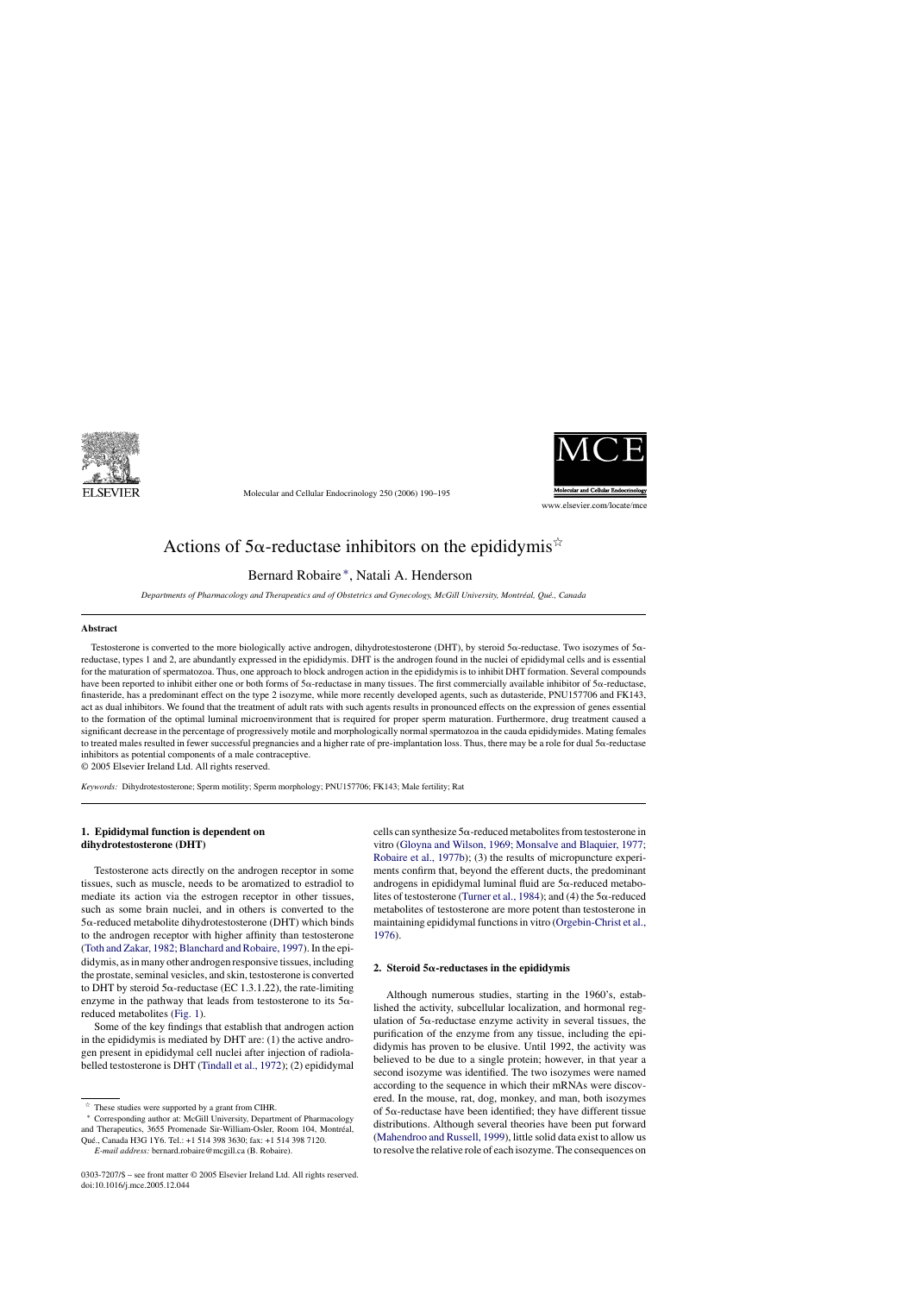

Molecular and Cellular Endocrinology 250 (2006) 190–195



# Actions of 5 $\alpha$ -reductase inhibitors on the epididymis<sup> $\dot{\alpha}$ </sup>

Bernard Robaire ∗, Natali A. Henderson

*Departments of Pharmacology and Therapeutics and of Obstetrics and Gynecology, McGill University, Montréal, Qué., Canada* 

## **Abstract**

Testosterone is converted to the more biologically active androgen, dihydrotestosterone (DHT), by steroid  $5\alpha$ -reductase. Two isozymes of  $5\alpha$ reductase, types 1 and 2, are abundantly expressed in the epididymis. DHT is the androgen found in the nuclei of epididymal cells and is essential for the maturation of spermatozoa. Thus, one approach to block androgen action in the epididymis is to inhibit DHT formation. Several compounds have been reported to inhibit either one or both forms of  $5\alpha$ -reductase in many tissues. The first commercially available inhibitor of  $5\alpha$ -reductase, finasteride, has a predominant effect on the type 2 isozyme, while more recently developed agents, such as dutasteride, PNU157706 and FK143, act as dual inhibitors. We found that the treatment of adult rats with such agents results in pronounced effects on the expression of genes essential to the formation of the optimal luminal microenvironment that is required for proper sperm maturation. Furthermore, drug treatment caused a significant decrease in the percentage of progressively motile and morphologically normal spermatozoa in the cauda epididymides. Mating females to treated males resulted in fewer successful pregnancies and a higher rate of pre-implantation loss. Thus, there may be a role for dual 5α-reductase inhibitors as potential components of a male contraceptive.

© 2005 Elsevier Ireland Ltd. All rights reserved.

*Keywords:* Dihydrotestosterone; Sperm motility; Sperm morphology; PNU157706; FK143; Male fertility; Rat

# **1. Epididymal function is dependent on dihydrotestosterone (DHT)**

Testosterone acts directly on the androgen receptor in some tissues, such as muscle, needs to be aromatized to estradiol to mediate its action via the estrogen receptor in other tissues, such as some brain nuclei, and in others is converted to the  $5\alpha$ -reduced metabolite dihydrotestosterone (DHT) which binds to the androgen receptor with higher affinity than testosterone [\(Toth and Zakar, 1982; Blanchard and Robaire, 1997\).](#page-5-0) In the epididymis, as in many other androgen responsive tissues, including the prostate, seminal vesicles, and skin, testosterone is converted to DHT by steroid  $5\alpha$ -reductase (EC 1.3.1.22), the rate-limiting enzyme in the pathway that leads from testosterone to its  $5\alpha$ reduced metabolites ([Fig. 1\).](#page-1-0)

Some of the key findings that establish that androgen action in the epididymis is mediated by DHT are: (1) the active androgen present in epididymal cell nuclei after injection of radiolabelled testosterone is DHT [\(Tindall et al., 1972\);](#page-5-0) (2) epididymal

cells can synthesize  $5\alpha$ -reduced metabolites from testosterone in vitro [\(Gloyna and Wilson, 1969; Monsalve and Blaquier, 1977;](#page-4-0) [Robaire et al., 1977b\);](#page-4-0) (3) the results of micropuncture experiments confirm that, beyond the efferent ducts, the predominant androgens in epididymal luminal fluid are  $5\alpha$ -reduced metabo-lites of testosterone [\(Turner et al., 1984\);](#page-5-0) and (4) the  $5\alpha$ -reduced metabolites of testosterone are more potent than testosterone in maintaining epididymal functions in vitro ([Orgebin-Christ et al.,](#page-5-0) [1976\).](#page-5-0)

# 2. Steroid  $5\alpha$ -reductases in the epididymis

Although numerous studies, starting in the 1960's, established the activity, subcellular localization, and hormonal regulation of  $5\alpha$ -reductase enzyme activity in several tissues, the purification of the enzyme from any tissue, including the epididymis has proven to be elusive. Until 1992, the activity was believed to be due to a single protein; however, in that year a second isozyme was identified. The two isozymes were named according to the sequence in which their mRNAs were discovered. In the mouse, rat, dog, monkey, and man, both isozymes of  $5\alpha$ -reductase have been identified; they have different tissue distributions. Although several theories have been put forward [\(Mahendroo and Russell, 1999\),](#page-4-0) little solid data exist to allow us to resolve the relative role of each isozyme. The consequences on

 $\overrightarrow{r}$  These studies were supported by a grant from CIHR.

<sup>∗</sup> Corresponding author at: McGill University, Department of Pharmacology and Therapeutics, 3655 Promenade Sir-William-Osler, Room 104, Montreal, ´ Que., Canada H3G 1Y6. Tel.: +1 514 398 3630; fax: +1 514 398 7120. ´

*E-mail address:* bernard.robaire@mcgill.ca (B. Robaire).

<sup>0303-7207/\$ –</sup> see front matter © 2005 Elsevier Ireland Ltd. All rights reserved. doi:10.1016/j.mce.2005.12.044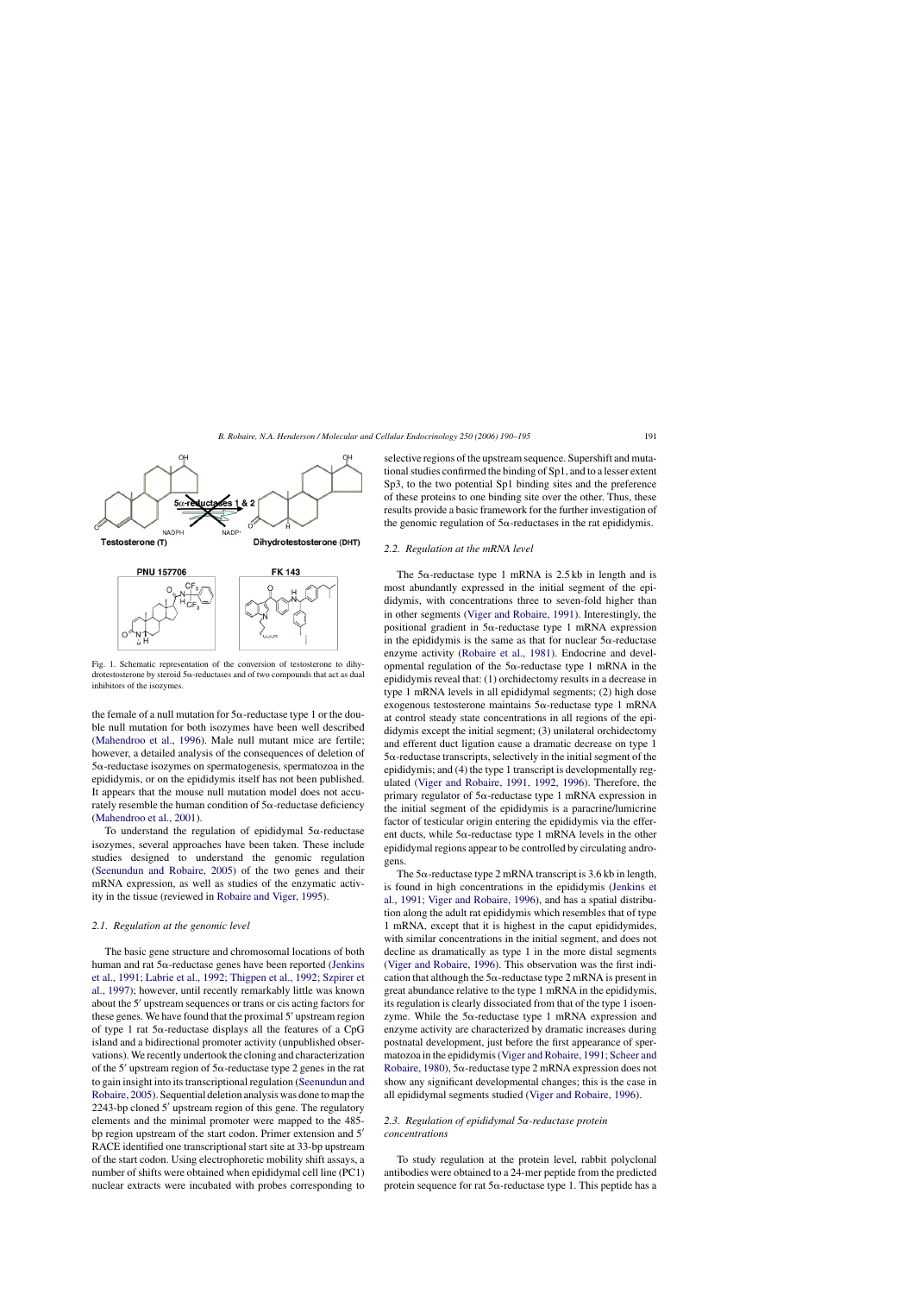<span id="page-1-0"></span>

Fig. 1. Schematic representation of the conversion of testosterone to dihydrotestosterone by steroid  $5\alpha$ -reductases and of two compounds that act as dual inhibitors of the isozymes.

the female of a null mutation for  $5\alpha$ -reductase type 1 or the double null mutation for both isozymes have been well described ([Mahendroo et al., 1996\).](#page-4-0) Male null mutant mice are fertile; however, a detailed analysis of the consequences of deletion of  $5\alpha$ -reductase isozymes on spermatogenesis, spermatozoa in the epididymis, or on the epididymis itself has not been published. It appears that the mouse null mutation model does not accurately resemble the human condition of  $5\alpha$ -reductase deficiency ([Mahendroo et al., 2001\).](#page-4-0)

To understand the regulation of epididymal  $5\alpha$ -reductase isozymes, several approaches have been taken. These include studies designed to understand the genomic regulation ([Seenundun and Robaire, 2005\)](#page-5-0) of the two genes and their mRNA expression, as well as studies of the enzymatic activity in the tissue (reviewed in [Robaire and Viger, 1995\).](#page-5-0)

# *2.1. Regulation at the genomic level*

The basic gene structure and chromosomal locations of both human and rat  $5\alpha$ -reductase genes have been reported ([Jenkins](#page-4-0) [et al., 1991; Labrie et al., 1992; Thigpen et al., 1992; Szpirer et](#page-4-0) [al., 1997\);](#page-4-0) however, until recently remarkably little was known about the 5' upstream sequences or trans or cis acting factors for these genes. We have found that the proximal 5' upstream region of type 1 rat  $5\alpha$ -reductase displays all the features of a CpG island and a bidirectional promoter activity (unpublished observations). We recently undertook the cloning and characterization of the 5' upstream region of  $5\alpha$ -reductase type 2 genes in the rat to gain insight into its transcriptional regulation [\(Seenundun and](#page-5-0) [Robaire, 2005\).](#page-5-0) Sequential deletion analysis was done to map the 2243-bp cloned 5' upstream region of this gene. The regulatory elements and the minimal promoter were mapped to the 485 bp region upstream of the start codon. Primer extension and 5' RACE identified one transcriptional start site at 33-bp upstream of the start codon. Using electrophoretic mobility shift assays, a number of shifts were obtained when epididymal cell line (PC1) nuclear extracts were incubated with probes corresponding to

selective regions of the upstream sequence. Supershift and mutational studies confirmed the binding of Sp1, and to a lesser extent Sp3, to the two potential Sp1 binding sites and the preference of these proteins to one binding site over the other. Thus, these results provide a basic framework for the further investigation of the genomic regulation of  $5\alpha$ -reductases in the rat epididymis.

## *2.2. Regulation at the mRNA level*

The  $5\alpha$ -reductase type 1 mRNA is 2.5 kb in length and is most abundantly expressed in the initial segment of the epididymis, with concentrations three to seven-fold higher than in other segments [\(Viger and Robaire, 1991\).](#page-5-0) Interestingly, the positional gradient in  $5\alpha$ -reductase type 1 mRNA expression in the epididymis is the same as that for nuclear  $5\alpha$ -reductase enzyme activity [\(Robaire et al., 1981\).](#page-5-0) Endocrine and developmental regulation of the  $5\alpha$ -reductase type 1 mRNA in the epididymis reveal that: (1) orchidectomy results in a decrease in type 1 mRNA levels in all epididymal segments; (2) high dose exogenous testosterone maintains  $5\alpha$ -reductase type 1 mRNA at control steady state concentrations in all regions of the epididymis except the initial segment; (3) unilateral orchidectomy and efferent duct ligation cause a dramatic decrease on type 1  $5\alpha$ -reductase transcripts, selectively in the initial segment of the epididymis; and (4) the type 1 transcript is developmentally regulated ([Viger and Robaire, 1991, 1992, 1996\).](#page-5-0) Therefore, the primary regulator of  $5\alpha$ -reductase type 1 mRNA expression in the initial segment of the epididymis is a paracrine/lumicrine factor of testicular origin entering the epididymis via the efferent ducts, while  $5\alpha$ -reductase type 1 mRNA levels in the other epididymal regions appear to be controlled by circulating androgens.

The  $5\alpha$ -reductase type 2 mRNA transcript is 3.6 kb in length, is found in high concentrations in the epididymis ([Jenkins et](#page-4-0) [al., 1991; Viger and Robaire, 1996\),](#page-4-0) and has a spatial distribution along the adult rat epididymis which resembles that of type 1 mRNA, except that it is highest in the caput epididymides, with similar concentrations in the initial segment, and does not decline as dramatically as type 1 in the more distal segments ([Viger and Robaire, 1996\).](#page-5-0) This observation was the first indication that although the  $5\alpha$ -reductase type 2 mRNA is present in great abundance relative to the type 1 mRNA in the epididymis, its regulation is clearly dissociated from that of the type 1 isoenzyme. While the  $5\alpha$ -reductase type 1 mRNA expression and enzyme activity are characterized by dramatic increases during postnatal development, just before the first appearance of spermatozoa in the epididymis ([Viger and Robaire, 1991; Scheer and](#page-5-0) [Robaire, 1980\),](#page-5-0)  $5\alpha$ -reductase type 2 mRNA expression does not show any significant developmental changes; this is the case in all epididymal segments studied [\(Viger and Robaire, 1996\).](#page-5-0)

# *2.3. Regulation of epididymal 5*α*-reductase protein concentrations*

To study regulation at the protein level, rabbit polyclonal antibodies were obtained to a 24-mer peptide from the predicted protein sequence for rat  $5\alpha$ -reductase type 1. This peptide has a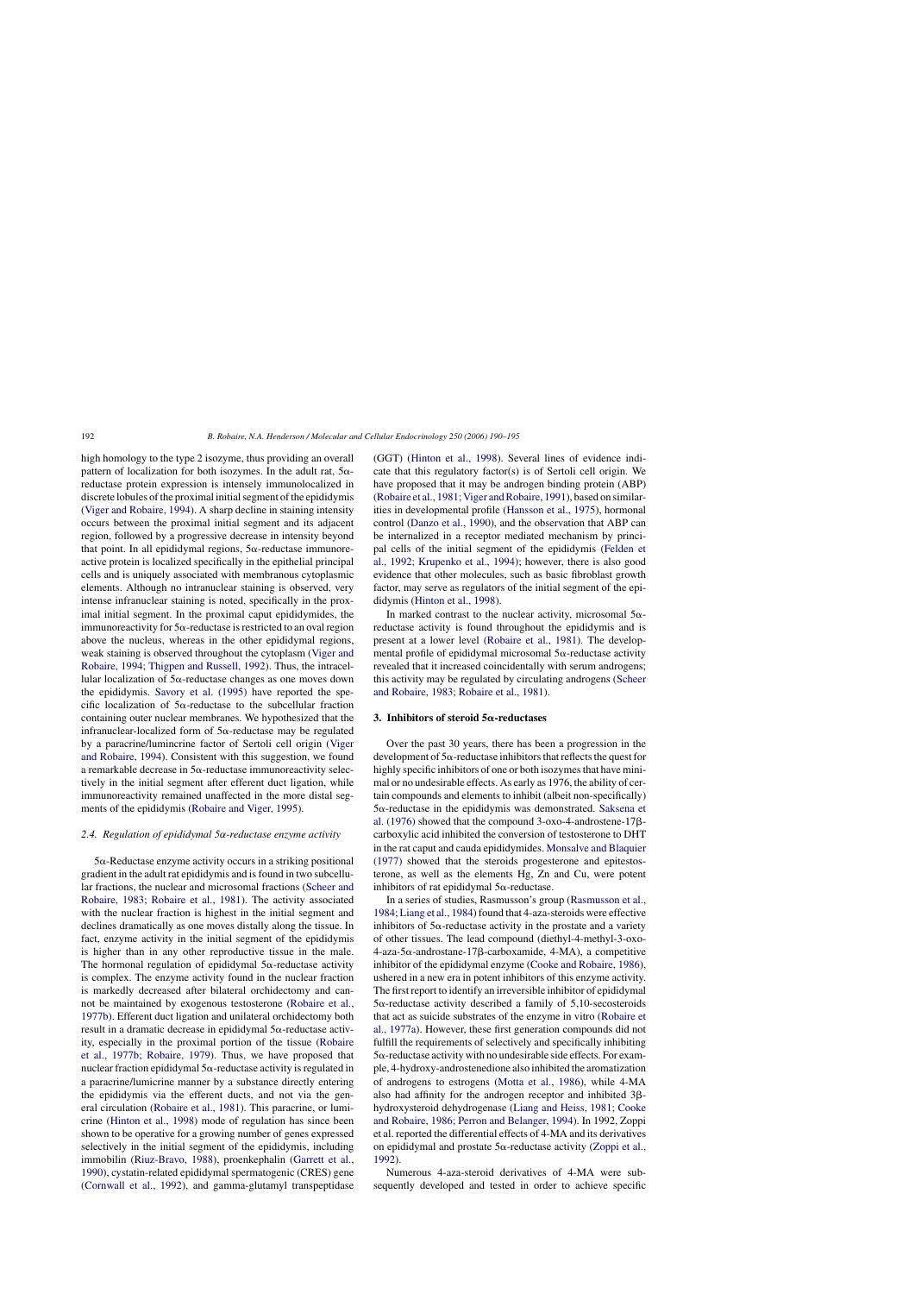high homology to the type 2 isozyme, thus providing an overall pattern of localization for both isozymes. In the adult rat,  $5\alpha$ reductase protein expression is intensely immunolocalized in discrete lobules of the proximal initial segment of the epididymis [\(Viger and Robaire, 1994\).](#page-5-0) A sharp decline in staining intensity occurs between the proximal initial segment and its adjacent region, followed by a progressive decrease in intensity beyond that point. In all epididymal regions,  $5\alpha$ -reductase immunoreactive protein is localized specifically in the epithelial principal cells and is uniquely associated with membranous cytoplasmic elements. Although no intranuclear staining is observed, very intense infranuclear staining is noted, specifically in the proximal initial segment. In the proximal caput epididymides, the immunoreactivity for  $5\alpha$ -reductase is restricted to an oval region above the nucleus, whereas in the other epididymal regions, weak staining is observed throughout the cytoplasm ([Viger and](#page-5-0) [Robaire, 1994; Thigpen and Russell, 1992\).](#page-5-0) Thus, the intracellular localization of  $5\alpha$ -reductase changes as one moves down the epididymis. [Savory et al. \(1995\)](#page-5-0) have reported the specific localization of  $5\alpha$ -reductase to the subcellular fraction containing outer nuclear membranes. We hypothesized that the infranuclear-localized form of  $5\alpha$ -reductase may be regulated by a paracrine/lumincrine factor of Sertoli cell origin ([Viger](#page-5-0) [and Robaire, 1994\).](#page-5-0) Consistent with this suggestion, we found a remarkable decrease in  $5\alpha$ -reductase immunoreactivity selectively in the initial segment after efferent duct ligation, while immunoreactivity remained unaffected in the more distal segments of the epididymis ([Robaire and Viger, 1995\).](#page-5-0)

# *2.4. Regulation of epididymal 5*α*-reductase enzyme activity*

 $5\alpha$ -Reductase enzyme activity occurs in a striking positional gradient in the adult rat epididymis and is found in two subcellular fractions, the nuclear and microsomal fractions ([Scheer and](#page-5-0) [Robaire, 1983; Robaire et al., 1981\).](#page-5-0) The activity associated with the nuclear fraction is highest in the initial segment and declines dramatically as one moves distally along the tissue. In fact, enzyme activity in the initial segment of the epididymis is higher than in any other reproductive tissue in the male. The hormonal regulation of epididymal  $5\alpha$ -reductase activity is complex. The enzyme activity found in the nuclear fraction is markedly decreased after bilateral orchidectomy and cannot be maintained by exogenous testosterone [\(Robaire et al.,](#page-5-0) [1977b\).](#page-5-0) Efferent duct ligation and unilateral orchidectomy both result in a dramatic decrease in epididymal  $5\alpha$ -reductase activity, especially in the proximal portion of the tissue [\(Robaire](#page-5-0) [et al., 1977b; Robaire, 1979\).](#page-5-0) Thus, we have proposed that nuclear fraction epididymal  $5\alpha$ -reductase activity is regulated in a paracrine/lumicrine manner by a substance directly entering the epididymis via the efferent ducts, and not via the general circulation ([Robaire et al., 1981\).](#page-5-0) This paracrine, or lumicrine [\(Hinton et al., 1998\)](#page-4-0) mode of regulation has since been shown to be operative for a growing number of genes expressed selectively in the initial segment of the epididymis, including immobilin ([Riuz-Bravo, 1988\),](#page-5-0) proenkephalin [\(Garrett et al.,](#page-4-0) [1990\),](#page-4-0) cystatin-related epididymal spermatogenic (CRES) gene [\(Cornwall et al., 1992\),](#page-4-0) and gamma-glutamyl transpeptidase

(GGT) [\(Hinton et al., 1998\).](#page-4-0) Several lines of evidence indicate that this regulatory factor(s) is of Sertoli cell origin. We have proposed that it may be androgen binding protein (ABP) [\(Robaire et al., 1981; Viger and Robaire, 1991\),](#page-5-0) based on similarities in developmental profile ([Hansson et al., 1975\),](#page-4-0) hormonal control [\(Danzo et al., 1990\),](#page-4-0) and the observation that ABP can be internalized in a receptor mediated mechanism by principal cells of the initial segment of the epididymis [\(Felden et](#page-4-0) [al., 1992; Krupenko et al., 1994\);](#page-4-0) however, there is also good evidence that other molecules, such as basic fibroblast growth factor, may serve as regulators of the initial segment of the epididymis ([Hinton et al., 1998\).](#page-4-0)

In marked contrast to the nuclear activity, microsomal  $5\alpha$ reductase activity is found throughout the epididymis and is present at a lower level ([Robaire et al., 1981\).](#page-5-0) The developmental profile of epididymal microsomal  $5\alpha$ -reductase activity revealed that it increased coincidentally with serum androgens; this activity may be regulated by circulating androgens ([Scheer](#page-5-0) [and Robaire, 1983; Robaire et al., 1981\).](#page-5-0)

# 3. Inhibitors of steroid 5 $\alpha$ -reductases

Over the past 30 years, there has been a progression in the development of  $5\alpha$ -reductase inhibitors that reflects the quest for highly specific inhibitors of one or both isozymes that have minimal or no undesirable effects. As early as 1976, the ability of certain compounds and elements to inhibit (albeit non-specifically)  $5\alpha$ -reductase in the epididymis was demonstrated. [Saksena et](#page-5-0) al.  $(1976)$  showed that the compound 3-oxo-4-androstene-17 $\beta$ carboxylic acid inhibited the conversion of testosterone to DHT in the rat caput and cauda epididymides. [Monsalve and Blaquier](#page-4-0) [\(1977\)](#page-4-0) showed that the steroids progesterone and epitestosterone, as well as the elements Hg, Zn and Cu, were potent inhibitors of rat epididymal  $5\alpha$ -reductase.

In a series of studies, Rasmusson's group [\(Rasmusson et al.,](#page-5-0) [1984; Liang et al., 1984\) f](#page-5-0)ound that 4-aza-steroids were effective inhibitors of  $5\alpha$ -reductase activity in the prostate and a variety of other tissues. The lead compound (diethyl-4-methyl-3-oxo- $4$ -aza-5 $\alpha$ -androstane-17 $\beta$ -carboxamide, 4-MA), a competitive inhibitor of the epididymal enzyme [\(Cooke and Robaire, 1986\),](#page-4-0) ushered in a new era in potent inhibitors of this enzyme activity. The first report to identify an irreversible inhibitor of epididymal  $5\alpha$ -reductase activity described a family of  $5,10$ -secosteroids that act as suicide substrates of the enzyme in vitro ([Robaire et](#page-5-0) [al., 1977a\).](#page-5-0) However, these first generation compounds did not fulfill the requirements of selectively and specifically inhibiting  $5\alpha$ -reductase activity with no undesirable side effects. For example, 4-hydroxy-androstenedione also inhibited the aromatization of androgens to estrogens ([Motta et al., 1986\),](#page-5-0) while 4-MA also had affinity for the androgen receptor and inhibited  $3\beta$ hydroxysteroid dehydrogenase ([Liang and Heiss, 1981; Cooke](#page-4-0) [and Robaire, 1986; Perron and Belanger, 1994\).](#page-4-0) In 1992, Zoppi et al. reported the differential effects of 4-MA and its derivatives on epididymal and prostate  $5\alpha$ -reductase activity [\(Zoppi et al.,](#page-5-0) [1992\).](#page-5-0)

Numerous 4-aza-steroid derivatives of 4-MA were subsequently developed and tested in order to achieve specific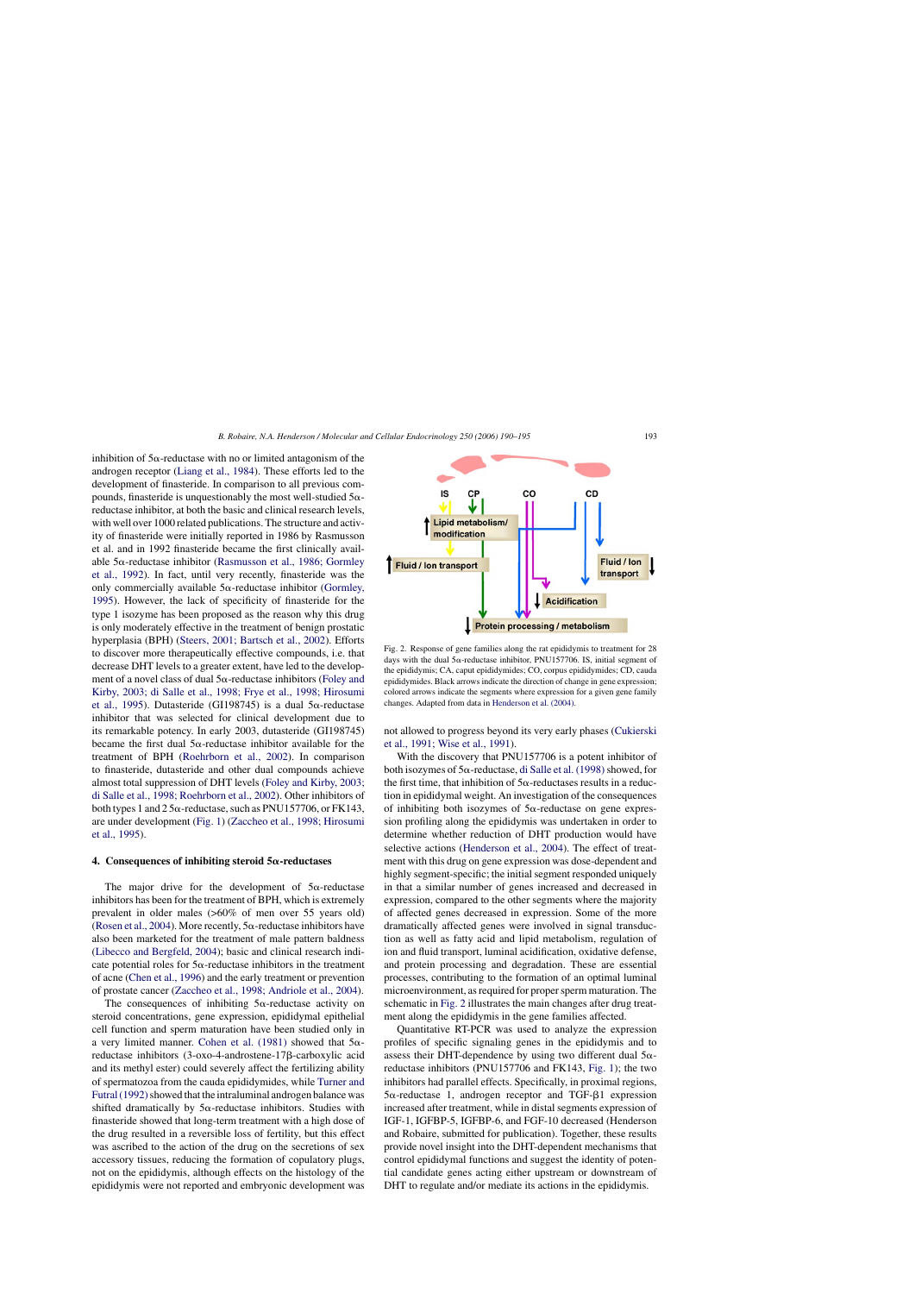inhibition of  $5\alpha$ -reductase with no or limited antagonism of the androgen receptor [\(Liang et al., 1984\).](#page-4-0) These efforts led to the development of finasteride. In comparison to all previous compounds, finasteride is unquestionably the most well-studied  $5\alpha$ reductase inhibitor, at both the basic and clinical research levels, with well over 1000 related publications. The structure and activity of finasteride were initially reported in 1986 by Rasmusson et al. and in 1992 finasteride became the first clinically available  $5\alpha$ -reductase inhibitor [\(Rasmusson et al., 1986; Gormley](#page-5-0) [et al., 1992\).](#page-5-0) In fact, until very recently, finasteride was the only commercially available  $5\alpha$ -reductase inhibitor ([Gormley,](#page-4-0) [1995\).](#page-4-0) However, the lack of specificity of finasteride for the type 1 isozyme has been proposed as the reason why this drug is only moderately effective in the treatment of benign prostatic hyperplasia (BPH) ([Steers, 2001; Bartsch et al., 2002\).](#page-5-0) Efforts to discover more therapeutically effective compounds, i.e. that decrease DHT levels to a greater extent, have led to the development of a novel class of dual  $5\alpha$ -reductase inhibitors ([Foley and](#page-4-0) [Kirby, 2003; di Salle et al., 1998; Frye et al., 1998; Hirosumi](#page-4-0) [et al., 1995\).](#page-4-0) Dutasteride (GI198745) is a dual  $5\alpha$ -reductase inhibitor that was selected for clinical development due to its remarkable potency. In early 2003, dutasteride (GI198745) became the first dual  $5\alpha$ -reductase inhibitor available for the treatment of BPH [\(Roehrborn et al., 2002\).](#page-5-0) In comparison to finasteride, dutasteride and other dual compounds achieve almost total suppression of DHT levels [\(Foley and Kirby, 2003;](#page-4-0) [di Salle et al., 1998; Roehrborn et al., 2002\).](#page-4-0) Other inhibitors of both types 1 and 2  $5\alpha$ -reductase, such as PNU157706, or FK143, are under development ([Fig. 1\)](#page-1-0) ([Zaccheo et al., 1998; Hirosumi](#page-5-0) [et al., 1995\).](#page-5-0)

#### **4. Consequences of inhibiting steroid**  $5\alpha$ **-reductases**

The major drive for the development of  $5\alpha$ -reductase inhibitors has been for the treatment of BPH, which is extremely prevalent in older males (>60% of men over 55 years old) ([Rosen et al., 2004\).](#page-5-0) More recently,  $5\alpha$ -reductase inhibitors have also been marketed for the treatment of male pattern baldness ([Libecco and Bergfeld, 2004\);](#page-4-0) basic and clinical research indicate potential roles for  $5\alpha$ -reductase inhibitors in the treatment of acne ([Chen et al., 1996\)](#page-4-0) and the early treatment or prevention of prostate cancer [\(Zaccheo et al., 1998; Andriole et al., 2004\).](#page-5-0)

The consequences of inhibiting  $5\alpha$ -reductase activity on steroid concentrations, gene expression, epididymal epithelial cell function and sperm maturation have been studied only in a very limited manner. [Cohen et al. \(1981\)](#page-4-0) showed that  $5\alpha$ reductase inhibitors (3-oxo-4-androstene-17ß-carboxylic acid and its methyl ester) could severely affect the fertilizing ability of spermatozoa from the cauda epididymides, while [Turner and](#page-5-0) Futral (1992) showed that the intraluminal androgen balance was shifted dramatically by  $5\alpha$ -reductase inhibitors. Studies with finasteride showed that long-term treatment with a high dose of the drug resulted in a reversible loss of fertility, but this effect was ascribed to the action of the drug on the secretions of sex accessory tissues, reducing the formation of copulatory plugs, not on the epididymis, although effects on the histology of the epididymis were not reported and embryonic development was



not allowed to progress beyond its very early phases ([Cukierski](#page-4-0) [et al., 1991; Wise et al., 1991\).](#page-4-0)

With the discovery that PNU157706 is a potent inhibitor of both isozymes of  $5\alpha$ -reductase, di Salle et al. (1998) showed, for the first time, that inhibition of  $5\alpha$ -reductases results in a reduction in epididymal weight. An investigation of the consequences of inhibiting both isozymes of  $5\alpha$ -reductase on gene expression profiling along the epididymis was undertaken in order to determine whether reduction of DHT production would have selective actions [\(Henderson et al., 2004\).](#page-4-0) The effect of treatment with this drug on gene expression was dose-dependent and highly segment-specific; the initial segment responded uniquely in that a similar number of genes increased and decreased in expression, compared to the other segments where the majority of affected genes decreased in expression. Some of the more dramatically affected genes were involved in signal transduction as well as fatty acid and lipid metabolism, regulation of ion and fluid transport, luminal acidification, oxidative defense, and protein processing and degradation. These are essential processes, contributing to the formation of an optimal luminal microenvironment, as required for proper sperm maturation. The schematic in Fig. 2 illustrates the main changes after drug treatment along the epididymis in the gene families affected.

Quantitative RT-PCR was used to analyze the expression profiles of specific signaling genes in the epididymis and to assess their DHT-dependence by using two different dual  $5\alpha$ reductase inhibitors (PNU157706 and FK143, [Fig. 1\);](#page-1-0) the two inhibitors had parallel effects. Specifically, in proximal regions,  $5\alpha$ -reductase 1, androgen receptor and TGF- $\beta$ 1 expression increased after treatment, while in distal segments expression of IGF-1, IGFBP-5, IGFBP-6, and FGF-10 decreased (Henderson and Robaire, submitted for publication). Together, these results provide novel insight into the DHT-dependent mechanisms that control epididymal functions and suggest the identity of potential candidate genes acting either upstream or downstream of DHT to regulate and/or mediate its actions in the epididymis.

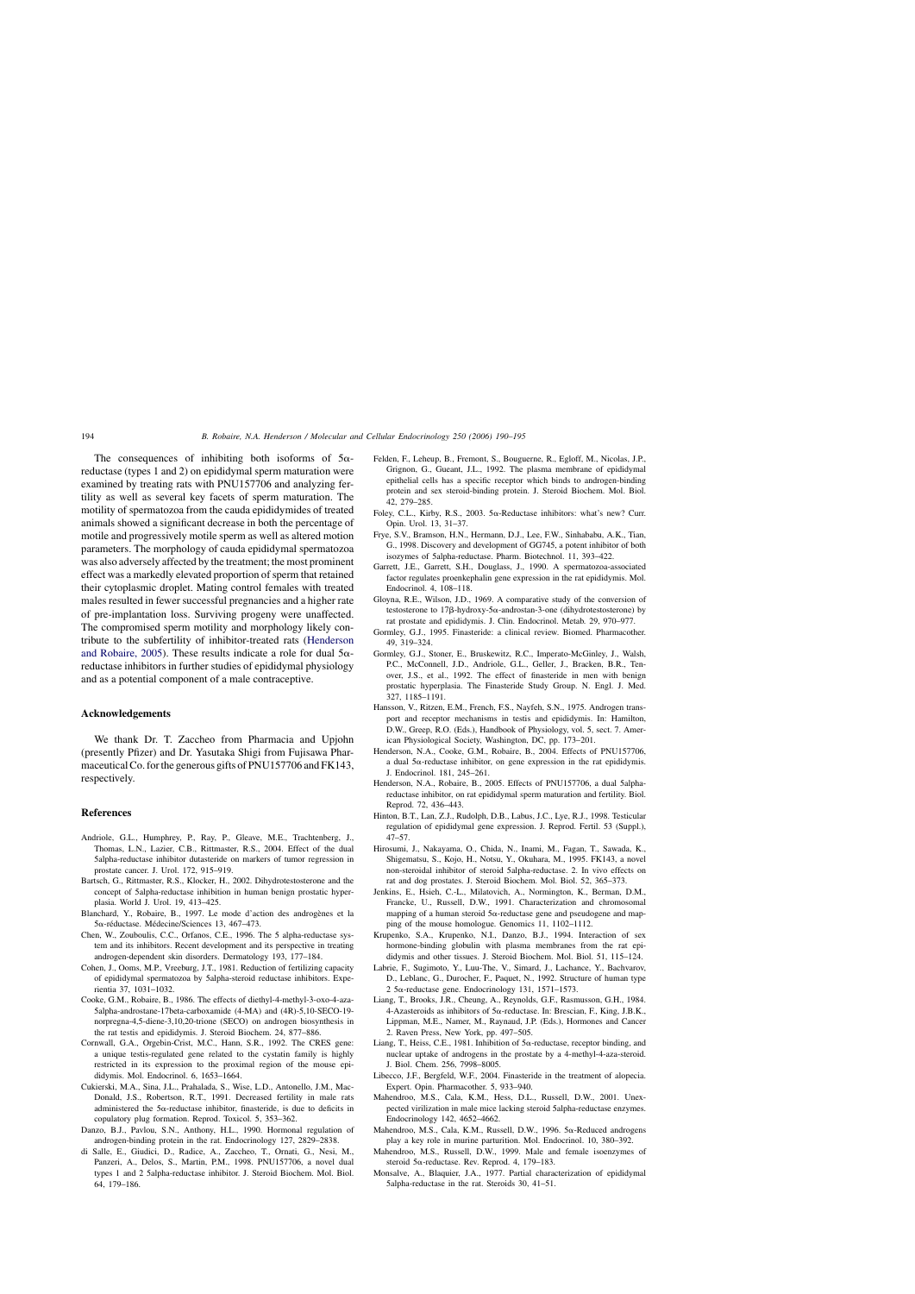<span id="page-4-0"></span>The consequences of inhibiting both isoforms of  $5\alpha$ reductase (types 1 and 2) on epididymal sperm maturation were examined by treating rats with PNU157706 and analyzing fertility as well as several key facets of sperm maturation. The motility of spermatozoa from the cauda epididymides of treated animals showed a significant decrease in both the percentage of motile and progressively motile sperm as well as altered motion parameters. The morphology of cauda epididymal spermatozoa was also adversely affected by the treatment; the most prominent effect was a markedly elevated proportion of sperm that retained their cytoplasmic droplet. Mating control females with treated males resulted in fewer successful pregnancies and a higher rate of pre-implantation loss. Surviving progeny were unaffected. The compromised sperm motility and morphology likely contribute to the subfertility of inhibitor-treated rats (Henderson and Robaire, 2005). These results indicate a role for dual  $5\alpha$ reductase inhibitors in further studies of epididymal physiology and as a potential component of a male contraceptive.

# **Acknowledgements**

We thank Dr. T. Zaccheo from Pharmacia and Upjohn (presently Pfizer) and Dr. Yasutaka Shigi from Fujisawa Pharmaceutical Co. for the generous gifts of PNU157706 and FK143, respectively.

# **References**

- Andriole, G.L., Humphrey, P., Ray, P., Gleave, M.E., Trachtenberg, J., Thomas, L.N., Lazier, C.B., Rittmaster, R.S., 2004. Effect of the dual 5alpha-reductase inhibitor dutasteride on markers of tumor regression in prostate cancer. J. Urol. 172, 915–919.
- Bartsch, G., Rittmaster, R.S., Klocker, H., 2002. Dihydrotestosterone and the concept of 5alpha-reductase inhibition in human benign prostatic hyperplasia. World J. Urol. 19, 413–425.
- Blanchard, Y., Robaire, B., 1997. Le mode d'action des androgenes et la `  $5\alpha$ -réductase. Médecine/Sciences 13, 467–473.
- Chen, W., Zouboulis, C.C., Orfanos, C.E., 1996. The 5 alpha-reductase system and its inhibitors. Recent development and its perspective in treating androgen-dependent skin disorders. Dermatology 193, 177–184.
- Cohen, J., Ooms, M.P., Vreeburg, J.T., 1981. Reduction of fertilizing capacity of epididymal spermatozoa by 5alpha-steroid reductase inhibitors. Experientia 37, 1031–1032.
- Cooke, G.M., Robaire, B., 1986. The effects of diethyl-4-methyl-3-oxo-4-aza-5alpha-androstane-17beta-carboxamide (4-MA) and (4R)-5,10-SECO-19 norpregna-4,5-diene-3,10,20-trione (SECO) on androgen biosynthesis in the rat testis and epididymis. J. Steroid Biochem. 24, 877–886.
- Cornwall, G.A., Orgebin-Crist, M.C., Hann, S.R., 1992. The CRES gene: a unique testis-regulated gene related to the cystatin family is highly restricted in its expression to the proximal region of the mouse epididymis. Mol. Endocrinol. 6, 1653–1664.
- Cukierski, M.A., Sina, J.L., Prahalada, S., Wise, L.D., Antonello, J.M., Mac-Donald, J.S., Robertson, R.T., 1991. Decreased fertility in male rats administered the  $5\alpha$ -reductase inhibitor, finasteride, is due to deficits in copulatory plug formation. Reprod. Toxicol. 5, 353–362.
- Danzo, B.J., Pavlou, S.N., Anthony, H.L., 1990. Hormonal regulation of androgen-binding protein in the rat. Endocrinology 127, 2829–2838.
- di Salle, E., Giudici, D., Radice, A., Zaccheo, T., Ornati, G., Nesi, M., Panzeri, A., Delos, S., Martin, P.M., 1998. PNU157706, a novel dual types 1 and 2 5alpha-reductase inhibitor. J. Steroid Biochem. Mol. Biol. 64, 179–186.
- Felden, F., Leheup, B., Fremont, S., Bouguerne, R., Egloff, M., Nicolas, J.P., Grignon, G., Gueant, J.L., 1992. The plasma membrane of epididymal epithelial cells has a specific receptor which binds to androgen-binding protein and sex steroid-binding protein. J. Steroid Biochem. Mol. Biol. 42, 279–285.
- Foley, C.L., Kirby, R.S., 2003.  $5\alpha$ -Reductase inhibitors: what's new? Curr. Opin. Urol. 13, 31–37.
- Frye, S.V., Bramson, H.N., Hermann, D.J., Lee, F.W., Sinhababu, A.K., Tian, G., 1998. Discovery and development of GG745, a potent inhibitor of both isozymes of 5alpha-reductase. Pharm. Biotechnol. 11, 393–422.
- Garrett, J.E., Garrett, S.H., Douglass, J., 1990. A spermatozoa-associated factor regulates proenkephalin gene expression in the rat epididymis. Mol. Endocrinol. 4, 108–118.
- Gloyna, R.E., Wilson, J.D., 1969. A comparative study of the conversion of testosterone to  $17\beta$ -hydroxy-5 $\alpha$ -androstan-3-one (dihydrotestosterone) by rat prostate and epididymis. J. Clin. Endocrinol. Metab. 29, 970–977.
- Gormley, G.J., 1995. Finasteride: a clinical review. Biomed. Pharmacother. 49, 319–324.
- Gormley, G.J., Stoner, E., Bruskewitz, R.C., Imperato-McGinley, J., Walsh, P.C., McConnell, J.D., Andriole, G.L., Geller, J., Bracken, B.R., Tenover, J.S., et al., 1992. The effect of finasteride in men with benign prostatic hyperplasia. The Finasteride Study Group. N. Engl. J. Med. 327, 1185–1191.
- Hansson, V., Ritzen, E.M., French, F.S., Nayfeh, S.N., 1975. Androgen transport and receptor mechanisms in testis and epididymis. In: Hamilton, D.W., Greep, R.O. (Eds.), Handbook of Physiology, vol. 5, sect. 7. American Physiological Society, Washington, DC, pp. 173–201.
- Henderson, N.A., Cooke, G.M., Robaire, B., 2004. Effects of PNU157706, a dual  $5\alpha$ -reductase inhibitor, on gene expression in the rat epididymis. J. Endocrinol. 181, 245–261.
- Henderson, N.A., Robaire, B., 2005. Effects of PNU157706, a dual 5alphareductase inhibitor, on rat epididymal sperm maturation and fertility. Biol. Reprod. 72, 436–443.
- Hinton, B.T., Lan, Z.J., Rudolph, D.B., Labus, J.C., Lye, R.J., 1998. Testicular regulation of epididymal gene expression. J. Reprod. Fertil. 53 (Suppl.), 47–57.
- Hirosumi, J., Nakayama, O., Chida, N., Inami, M., Fagan, T., Sawada, K., Shigematsu, S., Kojo, H., Notsu, Y., Okuhara, M., 1995. FK143, a novel non-steroidal inhibitor of steroid 5alpha-reductase. 2. In vivo effects on rat and dog prostates. J. Steroid Biochem. Mol. Biol. 52, 365–373.
- Jenkins, E., Hsieh, C.-L., Milatovich, A., Normington, K., Berman, D.M., Francke, U., Russell, D.W., 1991. Characterization and chromosomal mapping of a human steroid  $5\alpha$ -reductase gene and pseudogene and mapping of the mouse homologue. Genomics 11, 1102–1112.
- Krupenko, S.A., Krupenko, N.I., Danzo, B.J., 1994. Interaction of sex hormone-binding globulin with plasma membranes from the rat epididymis and other tissues. J. Steroid Biochem. Mol. Biol. 51, 115–124.
- Labrie, F., Sugimoto, Y., Luu-The, V., Simard, J., Lachance, Y., Bachvarov, D., Leblanc, G., Durocher, F., Paquet, N., 1992. Structure of human type  $2.5\alpha$ -reductase gene. Endocrinology 131, 1571–1573.
- Liang, T., Brooks, J.R., Cheung, A., Reynolds, G.F., Rasmusson, G.H., 1984. 4-Azasteroids as inhibitors of  $5\alpha$ -reductase. In: Brescian, F., King, J.B.K., Lippman, M.E., Namer, M., Raynaud, J.P. (Eds.), Hormones and Cancer 2. Raven Press, New York, pp. 497–505.
- Liang, T., Heiss, C.E., 1981. Inhibition of  $5\alpha$ -reductase, receptor binding, and nuclear uptake of androgens in the prostate by a 4-methyl-4-aza-steroid. J. Biol. Chem. 256, 7998–8005.
- Libecco, J.F., Bergfeld, W.F., 2004. Finasteride in the treatment of alopecia. Expert. Opin. Pharmacother. 5, 933–940.
- Mahendroo, M.S., Cala, K.M., Hess, D.L., Russell, D.W., 2001. Unexpected virilization in male mice lacking steroid 5alpha-reductase enzymes. Endocrinology 142, 4652–4662.
- Mahendroo, M.S., Cala, K.M., Russell, D.W., 1996. 5 $\alpha$ -Reduced androgens play a key role in murine parturition. Mol. Endocrinol. 10, 380–392.
- Mahendroo, M.S., Russell, D.W., 1999. Male and female isoenzymes of steroid 5 $\alpha$ -reductase. Rev. Reprod. 4, 179–183.
- Monsalve, A., Blaquier, J.A., 1977. Partial characterization of epididymal 5alpha-reductase in the rat. Steroids 30, 41–51.